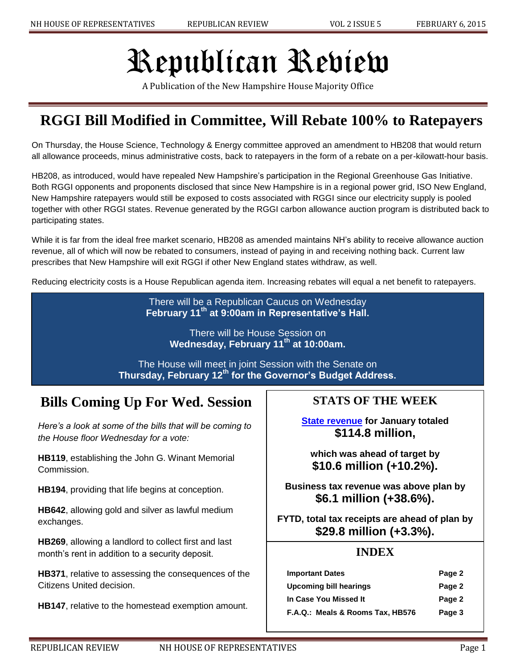# Republican Review

A Publication of the New Hampshire House Majority Office

# **RGGI Bill Modified in Committee, Will Rebate 100% to Ratepayers**

On Thursday, the House Science, Technology & Energy committee approved an amendment to HB208 that would return all allowance proceeds, minus administrative costs, back to ratepayers in the form of a rebate on a per-kilowatt-hour basis.

HB208, as introduced, would have repealed New Hampshire's participation in the Regional Greenhouse Gas Initiative. Both RGGI opponents and proponents disclosed that since New Hampshire is in a regional power grid, ISO New England, New Hampshire ratepayers would still be exposed to costs associated with RGGI since our electricity supply is pooled together with other RGGI states. Revenue generated by the RGGI carbon allowance auction program is distributed back to participating states.

While it is far from the ideal free market scenario, HB208 as amended maintains NH's ability to receive allowance auction revenue, all of which will now be rebated to consumers, instead of paying in and receiving nothing back. Current law prescribes that New Hampshire will exit RGGI if other New England states withdraw, as well.

Reducing electricity costs is a House Republican agenda item. Increasing rebates will equal a net benefit to ratepayers.

There will be a Republican Caucus on Wednesday **February 11th at 9:00am in Representative's Hall.**

> There will be House Session on **Wednesday, February 11th at 10:00am.**

The House will meet in joint Session with the Senate on **Thursday, February 12th for the Governor's Budget Address.**

## **Bills Coming Up For Wed. Session**

*Here's a look at some of the bills that will be coming to the House floor Wednesday for a vote:*

**HB119**, establishing the John G. Winant Memorial Commission.

**HB194**, providing that life begins at conception.

**HB642**, allowing gold and silver as lawful medium exchanges.

**HB269**, allowing a landlord to collect first and last month's rent in addition to a security deposit.

**HB371**, relative to assessing the consequences of the Citizens United decision.

**HB147**, relative to the homestead exemption amount.

**STATS OF THE WEEK**

**[State revenue](http://www.concordmonitor.com/news/politicalmonitor/15528466-95/january-revenues-come-in-ahead-of-target) for January totaled \$114.8 million,**

**which was ahead of target by \$10.6 million (+10.2%).**

**Business tax revenue was above plan by \$6.1 million (+38.6%).**

**FYTD, total tax receipts are ahead of plan by \$29.8 million (+3.3%).**

## **INDEX**

| <b>Important Dates</b>           | Page 2 |
|----------------------------------|--------|
| Upcoming bill hearings           | Page 2 |
| In Case You Missed It            | Page 2 |
| F.A.Q.: Meals & Rooms Tax, HB576 | Page 3 |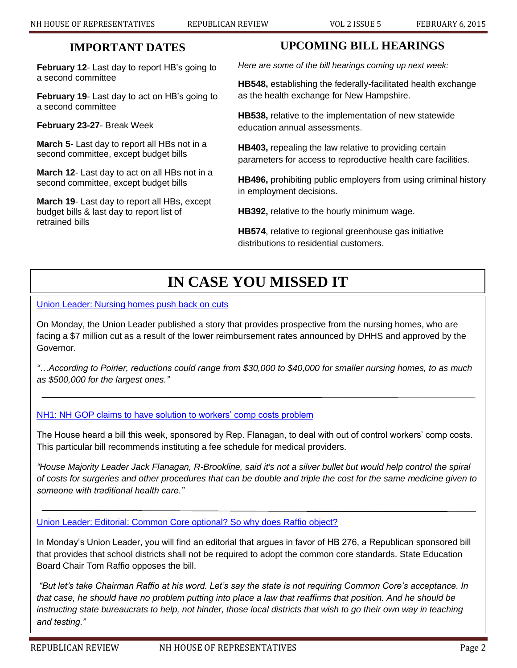## <sup>2</sup> **IMPORTANT DATES**

**February 12**- Last day to report HB's going to a second committee

**February 19**- Last day to act on HB's going to a second committee

**February 23-27**- Break Week

**March 5**- Last day to report all HBs not in a second committee, except budget bills

**March 12**- Last day to act on all HBs not in a second committee, except budget bills

**March 19**- Last day to report all HBs, except budget bills & last day to report list of retrained bills

## **UPCOMING BILL HEARINGS**

*Here are some of the bill hearings coming up next week:*

**HB548,** establishing the federally-facilitated health exchange as the health exchange for New Hampshire.

**HB538,** relative to the implementation of new statewide education annual assessments.

**HB403,** repealing the law relative to providing certain parameters for access to reproductive health care facilities.

**HB496,** prohibiting public employers from using criminal history in employment decisions.

**HB392,** relative to the hourly minimum wage.

**HB574**, relative to regional greenhouse gas initiative distributions to residential customers.

# **IN CASE YOU MISSED IT**

[Union Leader: Nursing homes push back on cuts](http://www.unionleader.com/article/20150201/NEWS12/150209890/0/SEARCH)

On Monday, the Union Leader published a story that provides prospective from the nursing homes, who are facing a \$7 million cut as a result of the lower reimbursement rates announced by DHHS and approved by the Governor.

*"…According to Poirier, reductions could range from \$30,000 to \$40,000 for smaller nursing homes, to as much as \$500,000 for the largest ones."*

## NH1: NH GOP claims to have [solution to workers' comp costs problem](http://www.nh1.com/news/kevin-landrigan-nh-gop-claims-to-have-solution-to-workers-comp-costs-problem/)

The House heard a bill this week, sponsored by Rep. Flanagan, to deal with out of control workers' comp costs. This particular bill recommends instituting a fee schedule for medical providers.

*"House Majority Leader Jack Flanagan, R-Brookline, said it's not a silver bullet but would help control the spiral of costs for surgeries and other procedures that can be double and triple the cost for the same medicine given to someone with traditional health care."*

[Union Leader: Editorial: Common Core optional? So why does Raffio object?](http://www.unionleader.com/article/20150201/OPINION01/150209981/-1/opinion01)

In Monday's Union Leader, you will find an editorial that argues in favor of HB 276, a Republican sponsored bill that provides that school districts shall not be required to adopt the common core standards. State Education Board Chair Tom Raffio opposes the bill.

*"But let's take Chairman Raffio at his word. Let's say the state is not requiring Common Core's acceptance. In that case, he should have no problem putting into place a law that reaffirms that position. And he should be instructing state bureaucrats to help, not hinder, those local districts that wish to go their own way in teaching and testing."*